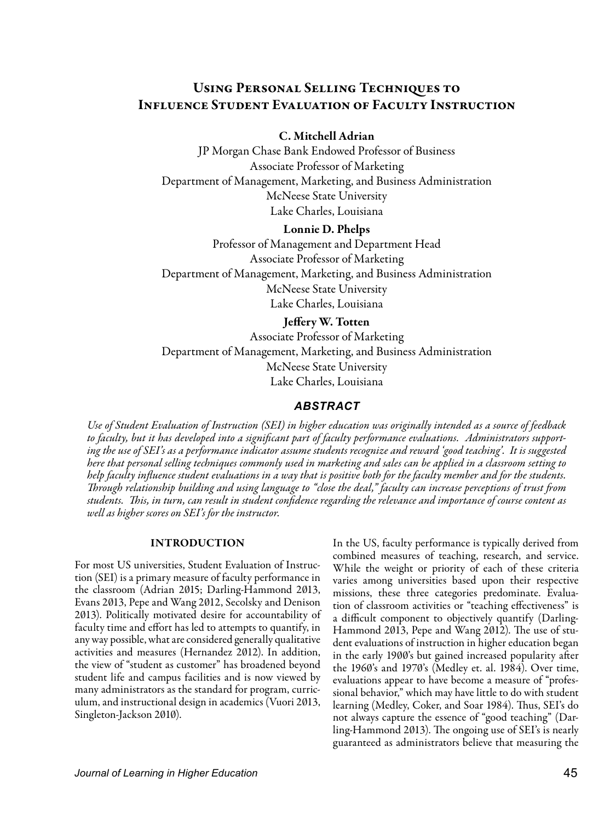# Using Personal Selling Techniques to Influence Student Evaluation of Faculty Instruction

### C. Mitchell Adrian

JP Morgan Chase Bank Endowed Professor of Business Associate Professor of Marketing Department of Management, Marketing, and Business Administration McNeese State University Lake Charles, Louisiana

#### Lonnie D. Phelps

Professor of Management and Department Head Associate Professor of Marketing Department of Management, Marketing, and Business Administration McNeese State University Lake Charles, Louisiana

# Jeffery W. Totten

Associate Professor of Marketing Department of Management, Marketing, and Business Administration McNeese State University Lake Charles, Louisiana

### *ABSTRACT*

*Use of Student Evaluation of Instruction (SEI) in higher education was originally intended as a source of feedback to faculty, but it has developed into a significant part of faculty performance evaluations. Administrators supporting the use of SEI's as a performance indicator assume students recognize and reward 'good teaching'. It is suggested here that personal selling techniques commonly used in marketing and sales can be applied in a classroom setting to help faculty influence student evaluations in a way that is positive both for the faculty member and for the students. Through relationship building and using language to "close the deal," faculty can increase perceptions of trust from students. This, in turn, can result in student confidence regarding the relevance and importance of course content as well as higher scores on SEI's for the instructor.*

#### INTRODUCTION

For most US universities, Student Evaluation of Instruction (SEI) is a primary measure of faculty performance in the classroom (Adrian 2015; Darling-Hammond 2013, Evans 2013, Pepe and Wang 2012, Secolsky and Denison 2013). Politically motivated desire for accountability of faculty time and effort has led to attempts to quantify, in any way possible, what are considered generally qualitative activities and measures (Hernandez 2012). In addition, the view of "student as customer" has broadened beyond student life and campus facilities and is now viewed by many administrators as the standard for program, curriculum, and instructional design in academics (Vuori 2013, Singleton-Jackson 2010).

In the US, faculty performance is typically derived from combined measures of teaching, research, and service. While the weight or priority of each of these criteria varies among universities based upon their respective missions, these three categories predominate. Evaluation of classroom activities or "teaching effectiveness" is a difficult component to objectively quantify (Darling-Hammond 2013, Pepe and Wang 2012). The use of student evaluations of instruction in higher education began in the early 1900's but gained increased popularity after the 1960's and 1970's (Medley et. al. 1984). Over time, evaluations appear to have become a measure of "professional behavior," which may have little to do with student learning (Medley, Coker, and Soar 1984). Thus, SEI's do not always capture the essence of "good teaching" (Darling-Hammond 2013). The ongoing use of SEI's is nearly guaranteed as administrators believe that measuring the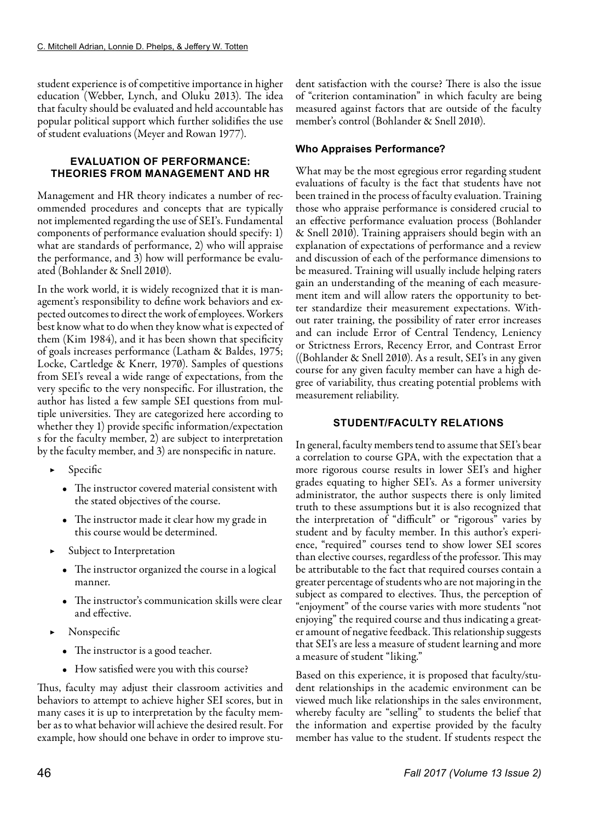student experience is of competitive importance in higher education (Webber, Lynch, and Oluku 2013). The idea that faculty should be evaluated and held accountable has popular political support which further solidifies the use of student evaluations (Meyer and Rowan 1977).

### **EVALUATION OF PERFORMANCE: THEORIES FROM MANAGEMENT AND HR**

Management and HR theory indicates a number of recommended procedures and concepts that are typically not implemented regarding the use of SEI's. Fundamental components of performance evaluation should specify: 1) what are standards of performance, 2) who will appraise the performance, and 3) how will performance be evaluated (Bohlander & Snell 2010).

In the work world, it is widely recognized that it is management's responsibility to define work behaviors and expected outcomes to direct the work of employees. Workers best know what to do when they know what is expected of them (Kim 1984), and it has been shown that specificity of goals increases performance (Latham & Baldes, 1975; Locke, Cartledge & Knerr, 1970). Samples of questions from SEI's reveal a wide range of expectations, from the very specific to the very nonspecific. For illustration, the author has listed a few sample SEI questions from multiple universities. They are categorized here according to whether they 1) provide specific information/expectation s for the faculty member, 2) are subject to interpretation by the faculty member, and 3) are nonspecific in nature.

- **Specific** 
	- The instructor covered material consistent with the stated objectives of the course.
	- The instructor made it clear how my grade in this course would be determined.
- ▶ Subject to Interpretation
	- The instructor organized the course in a logical manner.
	- The instructor's communication skills were clear and effective.
- ▶ Nonspecific
	- The instructor is a good teacher.
	- How satisfied were you with this course?

Thus, faculty may adjust their classroom activities and behaviors to attempt to achieve higher SEI scores, but in many cases it is up to interpretation by the faculty member as to what behavior will achieve the desired result. For example, how should one behave in order to improve student satisfaction with the course? There is also the issue of "criterion contamination" in which faculty are being measured against factors that are outside of the faculty member's control (Bohlander & Snell 2010).

# **Who Appraises Performance?**

What may be the most egregious error regarding student evaluations of faculty is the fact that students have not been trained in the process of faculty evaluation. Training those who appraise performance is considered crucial to an effective performance evaluation process (Bohlander & Snell 2010). Training appraisers should begin with an explanation of expectations of performance and a review and discussion of each of the performance dimensions to be measured. Training will usually include helping raters gain an understanding of the meaning of each measurement item and will allow raters the opportunity to better standardize their measurement expectations. Without rater training, the possibility of rater error increases and can include Error of Central Tendency, Leniency or Strictness Errors, Recency Error, and Contrast Error ((Bohlander & Snell 2010). As a result, SEI's in any given course for any given faculty member can have a high degree of variability, thus creating potential problems with measurement reliability.

# **STUDENT/FACULTY RELATIONS**

In general, faculty members tend to assume that SEI's bear a correlation to course GPA, with the expectation that a more rigorous course results in lower SEI's and higher grades equating to higher SEI's. As a former university administrator, the author suspects there is only limited truth to these assumptions but it is also recognized that the interpretation of "difficult" or "rigorous" varies by student and by faculty member. In this author's experience, "required" courses tend to show lower SEI scores than elective courses, regardless of the professor. This may be attributable to the fact that required courses contain a greater percentage of students who are not majoring in the subject as compared to electives. Thus, the perception of "enjoyment" of the course varies with more students "not enjoying" the required course and thus indicating a greater amount of negative feedback. This relationship suggests that SEI's are less a measure of student learning and more a measure of student "liking."

Based on this experience, it is proposed that faculty/student relationships in the academic environment can be viewed much like relationships in the sales environment, whereby faculty are "selling" to students the belief that the information and expertise provided by the faculty member has value to the student. If students respect the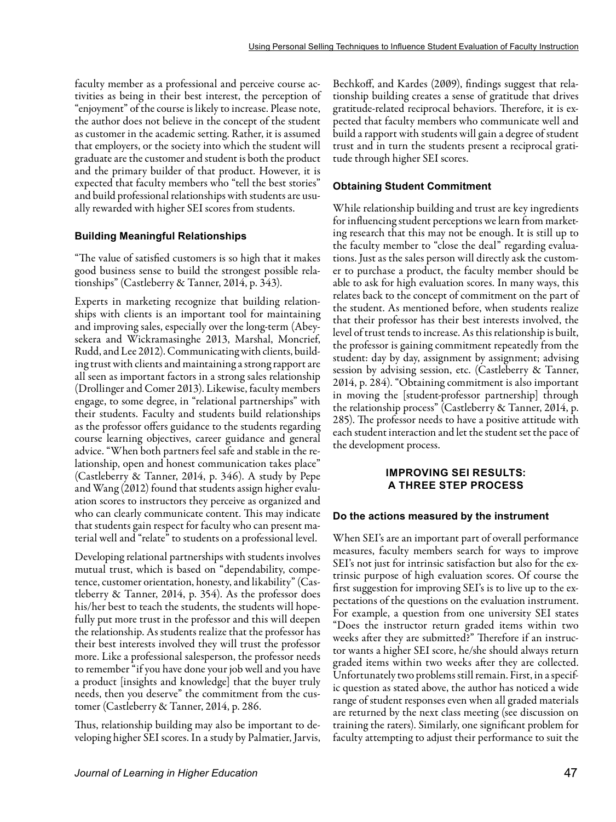faculty member as a professional and perceive course activities as being in their best interest, the perception of "enjoyment" of the course is likely to increase. Please note, the author does not believe in the concept of the student as customer in the academic setting. Rather, it is assumed that employers, or the society into which the student will graduate are the customer and student is both the product and the primary builder of that product. However, it is expected that faculty members who "tell the best stories" and build professional relationships with students are usually rewarded with higher SEI scores from students.

#### **Building Meaningful Relationships**

"The value of satisfied customers is so high that it makes good business sense to build the strongest possible relationships" (Castleberry & Tanner, 2014, p. 343).

Experts in marketing recognize that building relationships with clients is an important tool for maintaining and improving sales, especially over the long-term (Abeysekera and Wickramasinghe 2013, Marshal, Moncrief, Rudd, and Lee 2012). Communicating with clients, building trust with clients and maintaining a strong rapport are all seen as important factors in a strong sales relationship (Drollinger and Comer 2013). Likewise, faculty members engage, to some degree, in "relational partnerships" with their students. Faculty and students build relationships as the professor offers guidance to the students regarding course learning objectives, career guidance and general advice. "When both partners feel safe and stable in the relationship, open and honest communication takes place" (Castleberry & Tanner, 2014, p. 346). A study by Pepe and Wang (2012) found that students assign higher evaluation scores to instructors they perceive as organized and who can clearly communicate content. This may indicate that students gain respect for faculty who can present material well and "relate" to students on a professional level.

Developing relational partnerships with students involves mutual trust, which is based on "dependability, competence, customer orientation, honesty, and likability" (Castleberry & Tanner, 2014, p. 354). As the professor does his/her best to teach the students, the students will hopefully put more trust in the professor and this will deepen the relationship. As students realize that the professor has their best interests involved they will trust the professor more. Like a professional salesperson, the professor needs to remember "if you have done your job well and you have a product [insights and knowledge] that the buyer truly needs, then you deserve" the commitment from the customer (Castleberry & Tanner, 2014, p. 286.

Thus, relationship building may also be important to developing higher SEI scores. In a study by Palmatier, Jarvis, Bechkoff, and Kardes (2009), findings suggest that relationship building creates a sense of gratitude that drives gratitude-related reciprocal behaviors. Therefore, it is expected that faculty members who communicate well and build a rapport with students will gain a degree of student trust and in turn the students present a reciprocal gratitude through higher SEI scores.

#### **Obtaining Student Commitment**

While relationship building and trust are key ingredients for influencing student perceptions we learn from marketing research that this may not be enough. It is still up to the faculty member to "close the deal" regarding evaluations. Just as the sales person will directly ask the customer to purchase a product, the faculty member should be able to ask for high evaluation scores. In many ways, this relates back to the concept of commitment on the part of the student. As mentioned before, when students realize that their professor has their best interests involved, the level of trust tends to increase. As this relationship is built, the professor is gaining commitment repeatedly from the student: day by day, assignment by assignment; advising session by advising session, etc. (Castleberry & Tanner, 2014, p. 284). "Obtaining commitment is also important in moving the [student-professor partnership] through the relationship process" (Castleberry & Tanner, 2014, p. 285). The professor needs to have a positive attitude with each student interaction and let the student set the pace of the development process.

#### **IMPROVING SEI RESULTS: A THREE STEP PROCESS**

#### **Do the actions measured by the instrument**

When SEI's are an important part of overall performance measures, faculty members search for ways to improve SEI's not just for intrinsic satisfaction but also for the extrinsic purpose of high evaluation scores. Of course the first suggestion for improving SEI's is to live up to the expectations of the questions on the evaluation instrument. For example, a question from one university SEI states "Does the instructor return graded items within two weeks after they are submitted?" Therefore if an instructor wants a higher SEI score, he/she should always return graded items within two weeks after they are collected. Unfortunately two problems still remain. First, in a specific question as stated above, the author has noticed a wide range of student responses even when all graded materials are returned by the next class meeting (see discussion on training the raters). Similarly, one significant problem for faculty attempting to adjust their performance to suit the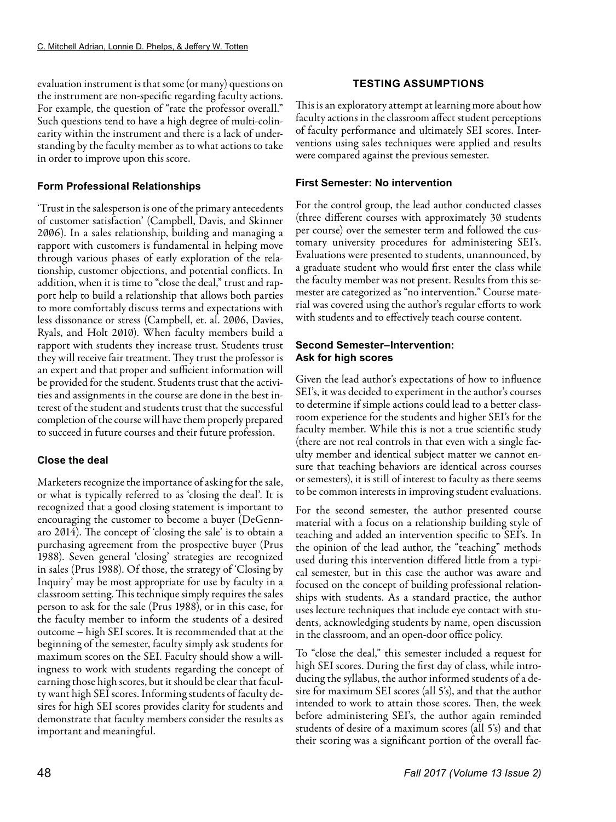evaluation instrument is that some (or many) questions on the instrument are non-specific regarding faculty actions. For example, the question of "rate the professor overall." Such questions tend to have a high degree of multi-colinearity within the instrument and there is a lack of understanding by the faculty member as to what actions to take in order to improve upon this score.

# **Form Professional Relationships**

'Trust in the salesperson is one of the primary antecedents of customer satisfaction' (Campbell, Davis, and Skinner 2006). In a sales relationship, building and managing a rapport with customers is fundamental in helping move through various phases of early exploration of the relationship, customer objections, and potential conflicts. In addition, when it is time to "close the deal," trust and rapport help to build a relationship that allows both parties to more comfortably discuss terms and expectations with less dissonance or stress (Campbell, et. al. 2006, Davies, Ryals, and Holt 2010). When faculty members build a rapport with students they increase trust. Students trust they will receive fair treatment. They trust the professor is an expert and that proper and sufficient information will be provided for the student. Students trust that the activities and assignments in the course are done in the best interest of the student and students trust that the successful completion of the course will have them properly prepared to succeed in future courses and their future profession.

# **Close the deal**

Marketers recognize the importance of asking for the sale, or what is typically referred to as 'closing the deal'. It is recognized that a good closing statement is important to encouraging the customer to become a buyer (DeGennaro 2014). The concept of 'closing the sale' is to obtain a purchasing agreement from the prospective buyer (Prus 1988). Seven general 'closing' strategies are recognized in sales (Prus 1988). Of those, the strategy of 'Closing by Inquiry' may be most appropriate for use by faculty in a classroom setting. This technique simply requires the sales person to ask for the sale (Prus 1988), or in this case, for the faculty member to inform the students of a desired outcome – high SEI scores. It is recommended that at the beginning of the semester, faculty simply ask students for maximum scores on the SEI. Faculty should show a willingness to work with students regarding the concept of earning those high scores, but it should be clear that faculty want high SEI scores. Informing students of faculty desires for high SEI scores provides clarity for students and demonstrate that faculty members consider the results as important and meaningful.

# **TESTING ASSUMPTIONS**

This is an exploratory attempt at learning more about how faculty actions in the classroom affect student perceptions of faculty performance and ultimately SEI scores. Interventions using sales techniques were applied and results were compared against the previous semester.

# **First Semester: No intervention**

For the control group, the lead author conducted classes (three different courses with approximately 30 students per course) over the semester term and followed the customary university procedures for administering SEI's. Evaluations were presented to students, unannounced, by a graduate student who would first enter the class while the faculty member was not present. Results from this semester are categorized as "no intervention." Course material was covered using the author's regular efforts to work with students and to effectively teach course content.

# **Second Semester–Intervention: Ask for high scores**

Given the lead author's expectations of how to influence SEI's, it was decided to experiment in the author's courses to determine if simple actions could lead to a better classroom experience for the students and higher SEI's for the faculty member. While this is not a true scientific study (there are not real controls in that even with a single faculty member and identical subject matter we cannot ensure that teaching behaviors are identical across courses or semesters), it is still of interest to faculty as there seems to be common interests in improving student evaluations.

For the second semester, the author presented course material with a focus on a relationship building style of teaching and added an intervention specific to SEI's. In the opinion of the lead author, the "teaching" methods used during this intervention differed little from a typical semester, but in this case the author was aware and focused on the concept of building professional relationships with students. As a standard practice, the author uses lecture techniques that include eye contact with students, acknowledging students by name, open discussion in the classroom, and an open-door office policy.

To "close the deal," this semester included a request for high SEI scores. During the first day of class, while introducing the syllabus, the author informed students of a desire for maximum SEI scores (all 5's), and that the author intended to work to attain those scores. Then, the week before administering SEI's, the author again reminded students of desire of a maximum scores (all 5's) and that their scoring was a significant portion of the overall fac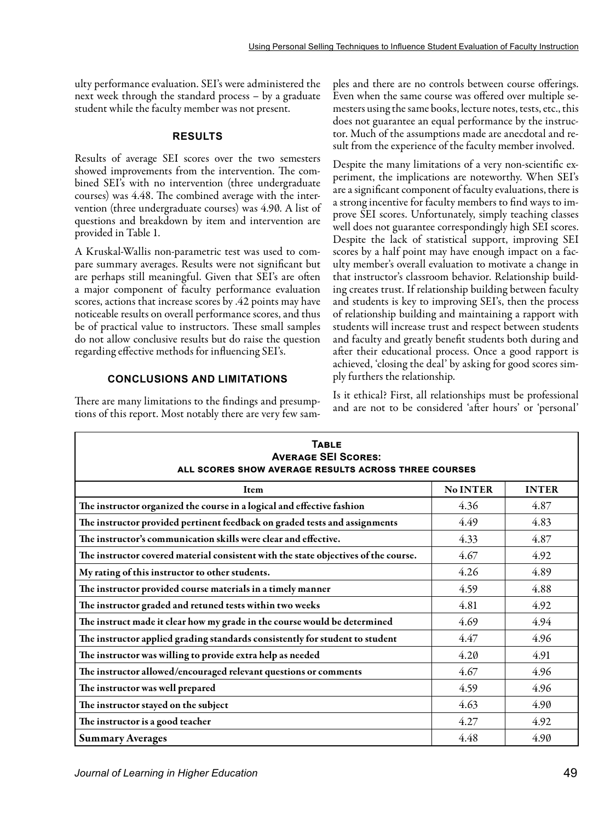ulty performance evaluation. SEI's were administered the next week through the standard process – by a graduate student while the faculty member was not present.

#### **RESULTS**

Results of average SEI scores over the two semesters showed improvements from the intervention. The combined SEI's with no intervention (three undergraduate courses) was 4.48. The combined average with the intervention (three undergraduate courses) was 4.90. A list of questions and breakdown by item and intervention are provided in Table 1.

A Kruskal-Wallis non-parametric test was used to compare summary averages. Results were not significant but are perhaps still meaningful. Given that SEI's are often a major component of faculty performance evaluation scores, actions that increase scores by .42 points may have noticeable results on overall performance scores, and thus be of practical value to instructors. These small samples do not allow conclusive results but do raise the question regarding effective methods for influencing SEI's.

# **CONCLUSIONS AND LIMITATIONS**

There are many limitations to the findings and presumptions of this report. Most notably there are very few sam-

ples and there are no controls between course offerings. Even when the same course was offered over multiple semesters using the same books, lecture notes, tests, etc., this does not guarantee an equal performance by the instructor. Much of the assumptions made are anecdotal and result from the experience of the faculty member involved.

Despite the many limitations of a very non-scientific experiment, the implications are noteworthy. When SEI's are a significant component of faculty evaluations, there is a strong incentive for faculty members to find ways to improve SEI scores. Unfortunately, simply teaching classes well does not guarantee correspondingly high SEI scores. Despite the lack of statistical support, improving SEI scores by a half point may have enough impact on a faculty member's overall evaluation to motivate a change in that instructor's classroom behavior. Relationship building creates trust. If relationship building between faculty and students is key to improving SEI's, then the process of relationship building and maintaining a rapport with students will increase trust and respect between students and faculty and greatly benefit students both during and after their educational process. Once a good rapport is achieved, 'closing the deal' by asking for good scores simply furthers the relationship.

Is it ethical? First, all relationships must be professional and are not to be considered 'after hours' or 'personal'

| <b>TABLE</b><br><b>AVERAGE SEI SCORES:</b><br>ALL SCORES SHOW AVERAGE RESULTS ACROSS THREE COURSES |                 |              |
|----------------------------------------------------------------------------------------------------|-----------------|--------------|
| Item                                                                                               | <b>No INTER</b> | <b>INTER</b> |
| The instructor organized the course in a logical and effective fashion                             | 4.36            | 4.87         |
| The instructor provided pertinent feedback on graded tests and assignments                         | 4.49            | 4.83         |
| The instructor's communication skills were clear and effective.                                    | 4.33            | 4.87         |
| The instructor covered material consistent with the state objectives of the course.                | 4.67            | 4.92         |
| My rating of this instructor to other students.                                                    | 4.26            | 4.89         |
| The instructor provided course materials in a timely manner                                        | 4.59            | 4.88         |
| The instructor graded and retuned tests within two weeks                                           | 4.81            | 4.92         |
| The instruct made it clear how my grade in the course would be determined                          | 4.69            | 4.94         |
| The instructor applied grading standards consistently for student to student                       | 4.47            | 4.96         |
| The instructor was willing to provide extra help as needed                                         | 4.20            | 4.91         |
| The instructor allowed/encouraged relevant questions or comments                                   | 4.67            | 4.96         |
| The instructor was well prepared                                                                   | 4.59            | 4.96         |
| The instructor stayed on the subject                                                               | 4.63            | 4.90         |
| The instructor is a good teacher                                                                   | 4.27            | 4.92         |
| <b>Summary Averages</b>                                                                            | 4.48            | 4.90         |